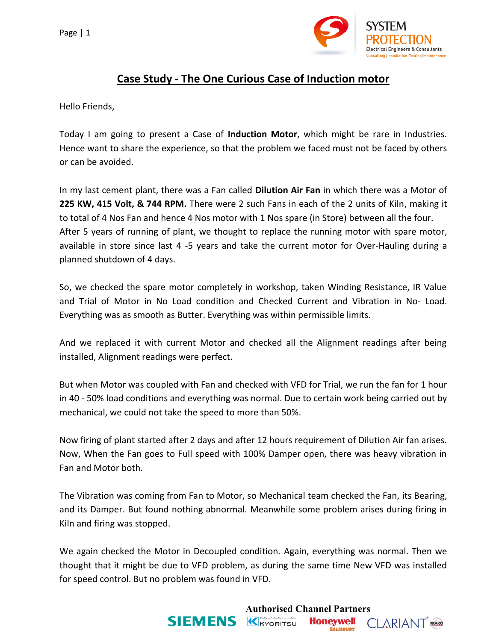

## **Case Study - The One Curious Case of Induction motor**

Hello Friends,

Today I am going to present a Case of **Induction Motor**, which might be rare in Industries. Hence want to share the experience, so that the problem we faced must not be faced by others or can be avoided.

In my last cement plant, there was a Fan called **Dilution Air Fan** in which there was a Motor of **225 KW, 415 Volt, & 744 RPM.** There were 2 such Fans in each of the 2 units of Kiln, making it to total of 4 Nos Fan and hence 4 Nos motor with 1 Nos spare (in Store) between all the four. After 5 years of running of plant, we thought to replace the running motor with spare motor, available in store since last 4 -5 years and take the current motor for Over-Hauling during a planned shutdown of 4 days.

So, we checked the spare motor completely in workshop, taken Winding Resistance, IR Value and Trial of Motor in No Load condition and Checked Current and Vibration in No- Load. Everything was as smooth as Butter. Everything was within permissible limits.

And we replaced it with current Motor and checked all the Alignment readings after being installed, Alignment readings were perfect.

But when Motor was coupled with Fan and checked with VFD for Trial, we run the fan for 1 hour in 40 - 50% load conditions and everything was normal. Due to certain work being carried out by mechanical, we could not take the speed to more than 50%.

Now firing of plant started after 2 days and after 12 hours requirement of Dilution Air fan arises. Now, When the Fan goes to Full speed with 100% Damper open, there was heavy vibration in Fan and Motor both.

The Vibration was coming from Fan to Motor, so Mechanical team checked the Fan, its Bearing, and its Damper. But found nothing abnormal. Meanwhile some problem arises during firing in Kiln and firing was stopped.

We again checked the Motor in Decoupled condition. Again, everything was normal. Then we thought that it might be due to VFD problem, as during the same time New VFD was installed for speed control. But no problem was found in VFD.

**Authorised Channel Partners**<br>**SIEMENS K**<sub>KYORITSU **Honeywell** (</sub>

**CLARIANT** FRAKO

**SALISBURY**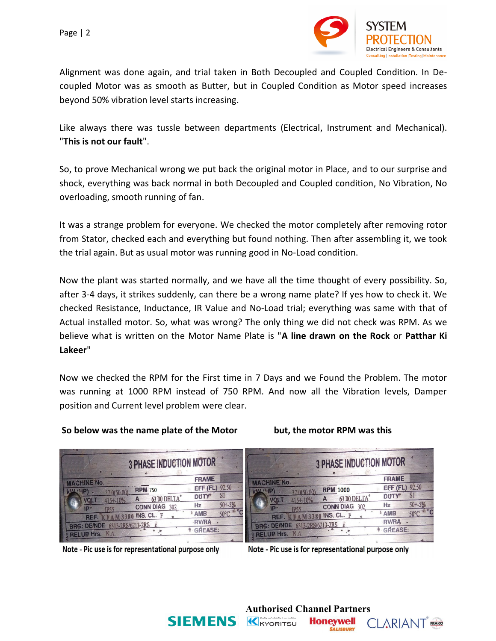

Alignment was done again, and trial taken in Both Decoupled and Coupled Condition. In Decoupled Motor was as smooth as Butter, but in Coupled Condition as Motor speed increases beyond 50% vibration level starts increasing.

Like always there was tussle between departments (Electrical, Instrument and Mechanical). "**This is not our fault**".

So, to prove Mechanical wrong we put back the original motor in Place, and to our surprise and shock, everything was back normal in both Decoupled and Coupled condition, No Vibration, No overloading, smooth running of fan.

It was a strange problem for everyone. We checked the motor completely after removing rotor from Stator, checked each and everything but found nothing. Then after assembling it, we took the trial again. But as usual motor was running good in No-Load condition.

Now the plant was started normally, and we have all the time thought of every possibility. So, after 3-4 days, it strikes suddenly, can there be a wrong name plate? If yes how to check it. We checked Resistance, Inductance, IR Value and No-Load trial; everything was same with that of Actual installed motor. So, what was wrong? The only thing we did not check was RPM. As we believe what is written on the Motor Name Plate is "**A line drawn on the Rock** or **Patthar Ki Lakeer**"

Now we checked the RPM for the First time in 7 Days and we Found the Problem. The motor was running at 1000 RPM instead of 750 RPM. And now all the Vibration levels, Damper position and Current level problem were clear.

## **So below was the name plate of the Motor but, the motor RPM was this**

| 3 PHASE INDUCTION MOTOR                                                                                                                                                                                                                                                                                                                                                                           | 3 PHASE INDUCTION MOTOR                                                                                                                                                                                                                                                                                                                                                                                       |
|---------------------------------------------------------------------------------------------------------------------------------------------------------------------------------------------------------------------------------------------------------------------------------------------------------------------------------------------------------------------------------------------------|---------------------------------------------------------------------------------------------------------------------------------------------------------------------------------------------------------------------------------------------------------------------------------------------------------------------------------------------------------------------------------------------------------------|
| <b>FRAME</b><br><b>MACHINE No.</b><br>EFF (FL) 92.50<br><b>RPM 750</b><br><b>KIN HPT</b><br>-SI<br><b>DUTY</b><br>63.00 DELTA<br>415+-10%<br><b>VOLT</b><br>$50 + -5%$<br>Hz<br>CONN DIAG 302<br>IP<br><b>IP55</b><br>$50^{\circ}$ C $4^{\circ}$ C<br><b>AMB</b><br>KFAM3380 INS. CL. F<br>REF.<br>·RV/RA<br>6313-2RS/6213-2RS<br>BRG: DE/NDE<br><b><i><u>OREASE:</u></i></b><br>PRELUBIHTS. N.A. | <b>FRAME</b><br><b>MACHINE No.</b><br>EFF (FL) 92.50<br><b>RPM 1000</b><br>KW HP<br><sub>S1</sub><br><b>DUTY</b><br>63.00 DELTA<br>$415 + -10%$<br>VOL 1<br>$50 + -5%$<br>Hz<br><b>CONN DIAG</b><br>302<br>$\ln$<br>ገጋ ኗ ሩ<br>50°C <sup>40</sup> °C<br><b>AMB</b><br><b>FAM3380 INS. CL. F</b><br>REF.<br>·RV/RA<br>6313-2RS/6213-2RS<br><b>BRG: DE/NDE</b><br><b>1 GREASE:</b><br>NA.<br><b>2</b> RELUB Hrs. |
|                                                                                                                                                                                                                                                                                                                                                                                                   |                                                                                                                                                                                                                                                                                                                                                                                                               |

Note - Pic use is for representational purpose only

Note - Pic use is for representational purpose only

**Honeywell** 

**SALISBURY** 

**CLARIANT** FRAKO